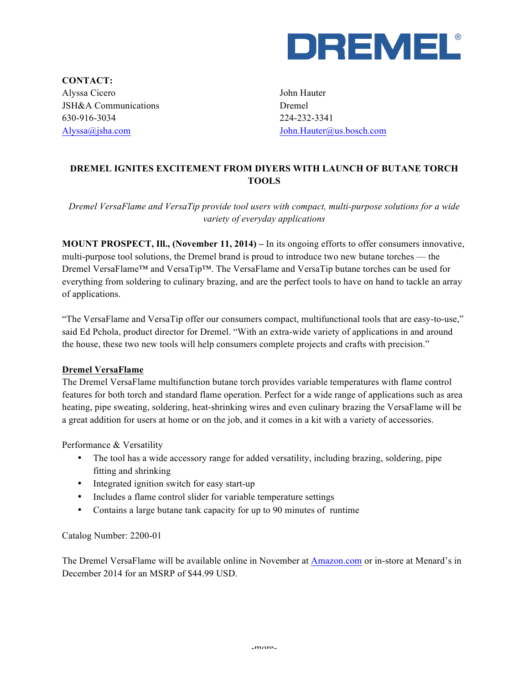

**CONTACT:** Alyssa Cicero JSH&A Communications 630-916-3034 Alyssa@jsha.com

John Hauter Dremel 224-232-3341 John.Hauter@us.bosch.com

## **DREMEL IGNITES EXCITEMENT FROM DIYERS WITH LAUNCH OF BUTANE TORCH TOOLS**

*Dremel VersaFlame and VersaTip provide tool users with compact, multi-purpose solutions for a wide variety of everyday applications*

**MOUNT PROSPECT, Ill., (November 11, 2014) –** In its ongoing efforts to offer consumers innovative, multi-purpose tool solutions, the Dremel brand is proud to introduce two new butane torches — the Dremel VersaFlame™ and VersaTip™. The VersaFlame and VersaTip butane torches can be used for everything from soldering to culinary brazing, and are the perfect tools to have on hand to tackle an array of applications.

"The VersaFlame and VersaTip offer our consumers compact, multifunctional tools that are easy-to-use," said Ed Pchola, product director for Dremel. "With an extra-wide variety of applications in and around the house, these two new tools will help consumers complete projects and crafts with precision."

## **Dremel VersaFlame**

The Dremel VersaFlame multifunction butane torch provides variable temperatures with flame control features for both torch and standard flame operation. Perfect for a wide range of applications such as area heating, pipe sweating, soldering, heat-shrinking wires and even culinary brazing the VersaFlame will be a great addition for users at home or on the job, and it comes in a kit with a variety of accessories.

Performance & Versatility

- The tool has a wide accessory range for added versatility, including brazing, soldering, pipe fitting and shrinking
- Integrated ignition switch for easy start-up
- Includes a flame control slider for variable temperature settings
- Contains a large butane tank capacity for up to 90 minutes of runtime

Catalog Number: 2200-01

The Dremel VersaFlame will be available online in November at Amazon.com or in-store at Menard's in December 2014 for an MSRP of \$44.99 USD.